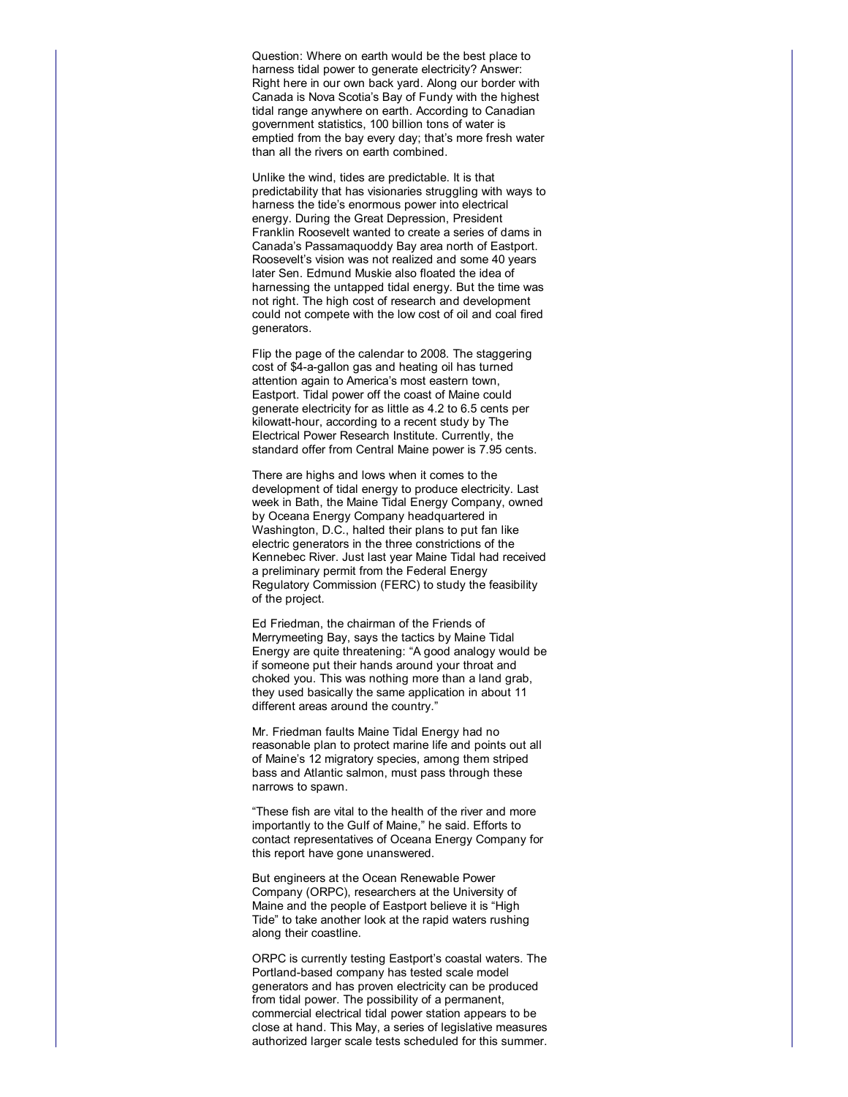Question: Where on earth would be the best place to harness tidal power to generate electricity? Answer: Right here in our own back yard. Along our border with Canada is Nova Scotia's Bay of Fundy with the highest tidal range anywhere on earth. According to Canadian government statistics, 100 billion tons of water is emptied from the bay every day; that's more fresh water than all the rivers on earth combined.

Unlike the wind, tides are predictable. It is that predictability that has visionaries struggling with ways to harness the tide's enormous power into electrical energy. During the Great Depression, President Franklin Roosevelt wanted to create a series of dams in Canada's Passamaquoddy Bay area north of Eastport. Roosevelt's vision was not realized and some 40 years later Sen. Edmund Muskie also floated the idea of harnessing the untapped tidal energy. But the time was not right. The high cost of research and development could not compete with the low cost of oil and coal fired generators.

Flip the page of the calendar to 2008. The staggering cost of \$4-a-gallon gas and heating oil has turned attention again to America's most eastern town, Eastport. Tidal power off the coast of Maine could generate electricity for as little as 4.2 to 6.5 cents per kilowatt-hour, according to a recent study by The Electrical Power Research Institute. Currently, the standard offer from Central Maine power is 7.95 cents.

There are highs and lows when it comes to the development of tidal energy to produce electricity. Last week in Bath, the Maine Tidal Energy Company, owned by Oceana Energy Company headquartered in Washington, D.C., halted their plans to put fan like electric generators in the three constrictions of the Kennebec River. Just last year Maine Tidal had received a preliminary permit from the Federal Energy Regulatory Commission (FERC) to study the feasibility of the project.

Ed Friedman, the chairman of the Friends of Merrymeeting Bay, says the tactics by Maine Tidal Energy are quite threatening: "A good analogy would be if someone put their hands around your throat and choked you. This was nothing more than a land grab, they used basically the same application in about 11 different areas around the country."

Mr. Friedman faults Maine Tidal Energy had no reasonable plan to protect marine life and points out all of Maine's 12 migratory species, among them striped bass and Atlantic salmon, must pass through these narrows to spawn.

"These fish are vital to the health of the river and more importantly to the Gulf of Maine," he said. Efforts to contact representatives of Oceana Energy Company for this report have gone unanswered.

But engineers at the Ocean Renewable Power Company (ORPC), researchers at the University of Maine and the people of Eastport believe it is "High Tide" to take another look at the rapid waters rushing along their coastline.

ORPC is currently testing Eastport's coastal waters. The Portland-based company has tested scale model generators and has proven electricity can be produced from tidal power. The possibility of a permanent, commercial electrical tidal power station appears to be close at hand. This May, a series of legislative measures authorized larger scale tests scheduled for this summer.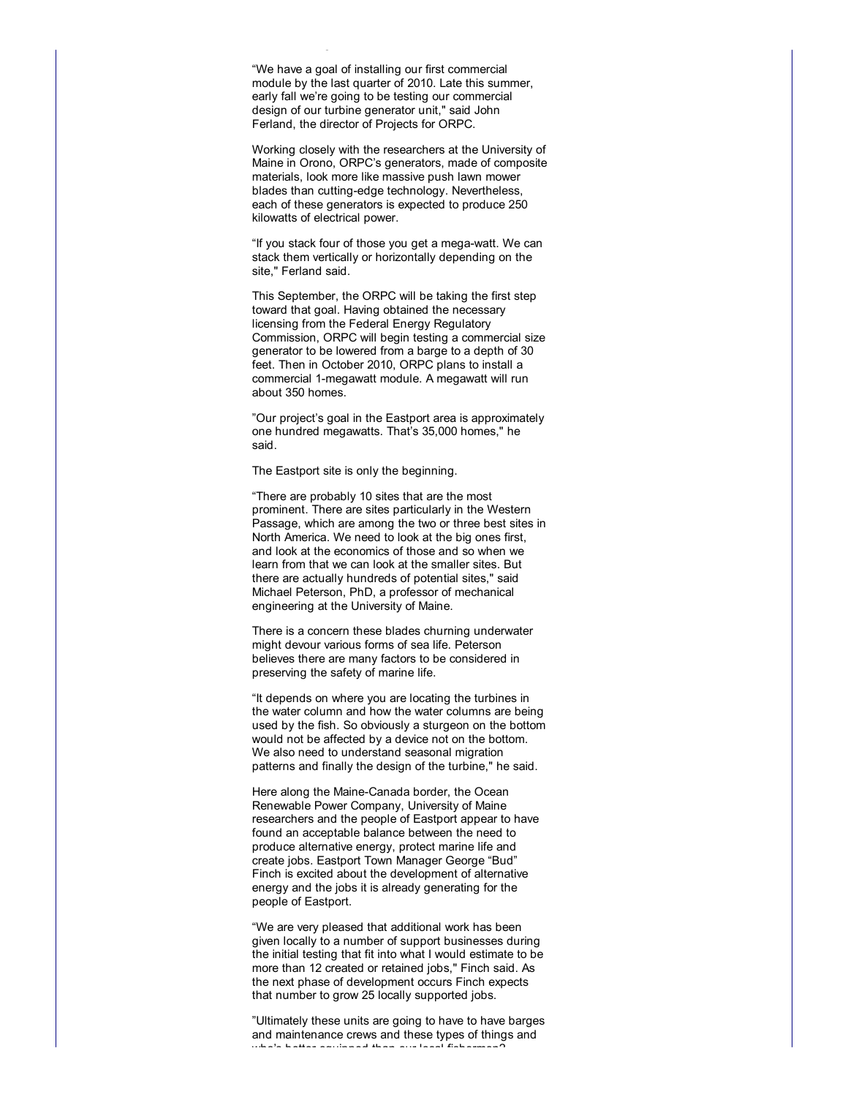"We have a goal of installing our first commercial module by the last quarter of 2010. Late this summer, early fall we're going to be testing our commercial design of our turbine generator unit," said John Ferland, the director of Projects for ORPC.

Working closely with the researchers at the University of Maine in Orono, ORPC's generators, made of composite materials, look more like massive push lawn mower blades than cutting-edge technology. Nevertheless, each of these generators is expected to produce 250 kilowatts of electrical power.

"If you stack four of those you get a mega-watt. We can stack them vertically or horizontally depending on the site," Ferland said.

This September, the ORPC will be taking the first step toward that goal. Having obtained the necessary licensing from the Federal Energy Regulatory Commission, ORPC will begin testing a commercial size generator to be lowered from a barge to a depth of 30 feet. Then in October 2010, ORPC plans to install a commercial 1-megawatt module. A megawatt will run about 350 homes.

"Our project's goal in the Eastport area is approximately one hundred megawatts. That's 35,000 homes," he said.

The Eastport site is only the beginning.

"There are probably 10 sites that are the most prominent. There are sites particularly in the Western Passage, which are among the two or three best sites in North America. We need to look at the big ones first, and look at the economics of those and so when we learn from that we can look at the smaller sites. But there are actually hundreds of potential sites," said Michael Peterson, PhD, a professor of mechanical engineering at the University of Maine.

There is a concern these blades churning underwater might devour various forms of sea life. Peterson believes there are many factors to be considered in preserving the safety of marine life.

"It depends on where you are locating the turbines in the water column and how the water columns are being used by the fish. So obviously a sturgeon on the bottom would not be affected by a device not on the bottom. We also need to understand seasonal migration patterns and finally the design of the turbine," he said.

Here along the Maine-Canada border, the Ocean Renewable Power Company, University of Maine researchers and the people of Eastport appear to have found an acceptable balance between the need to produce alternative energy, protect marine life and create jobs. Eastport Town Manager George "Bud" Finch is excited about the development of alternative energy and the jobs it is already generating for the people of Eastport.

"We are very pleased that additional work has been given locally to a number of support businesses during the initial testing that fit into what I would estimate to be more than 12 created or retained jobs," Finch said. As the next phase of development occurs Finch expects that number to grow 25 locally supported jobs.

"Ultimately these units are going to have to have barges and maintenance crews and these types of things and .<br>أمينا المرتب المتعاط المتحسن ربيب المتطلب على الملاء